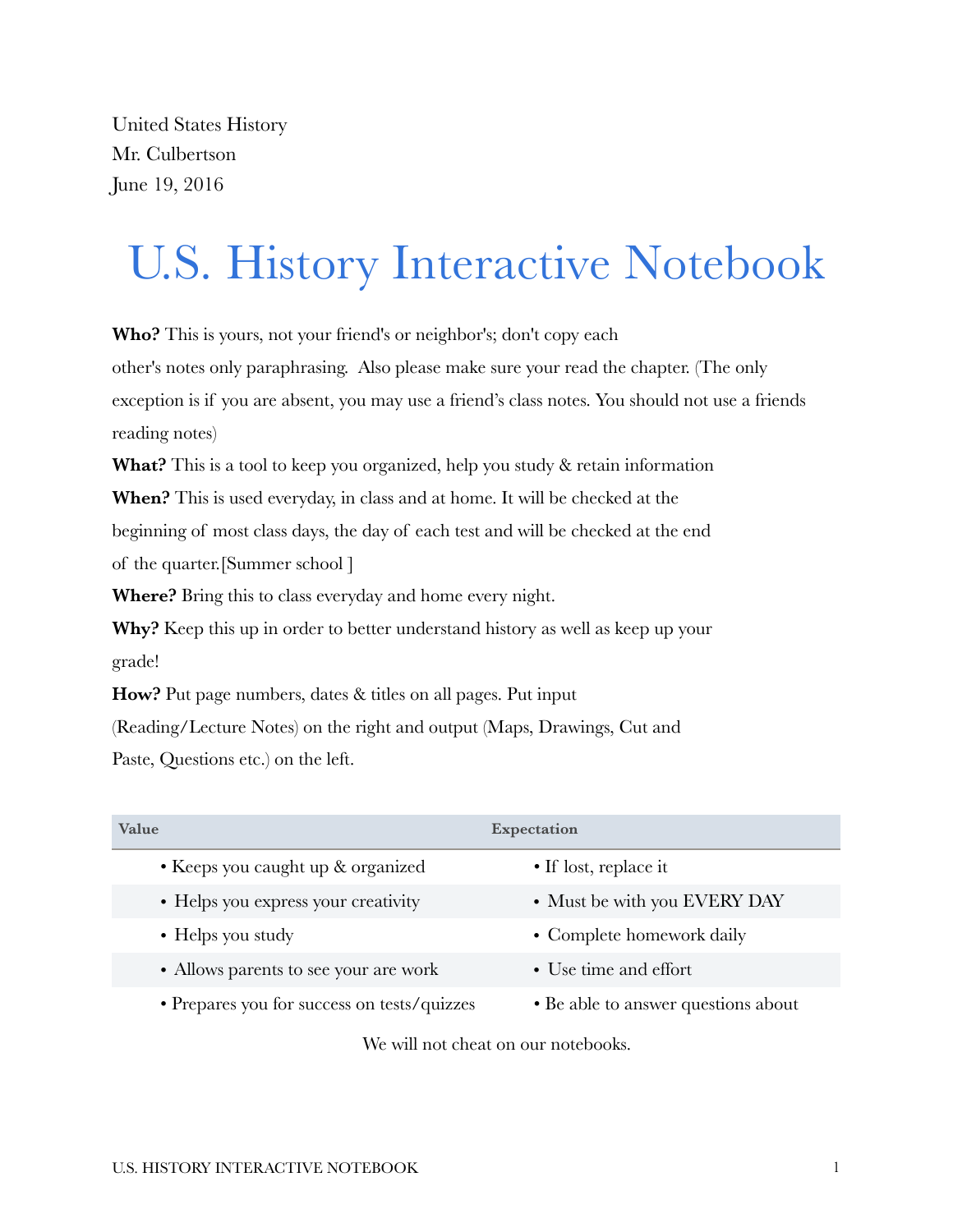United States History Mr. Culbertson June 19, 2016

# U.S. History Interactive Notebook

**Who?** This is yours, not your friend's or neighbor's; don't copy each other's notes only paraphrasing. Also please make sure your read the chapter. (The only exception is if you are absent, you may use a friend's class notes. You should not use a friends reading notes)

**What?** This is a tool to keep you organized, help you study & retain information

**When?** This is used everyday, in class and at home. It will be checked at the

beginning of most class days, the day of each test and will be checked at the end

of the quarter.[Summer school ]

**Where?** Bring this to class everyday and home every night.

**Why?** Keep this up in order to better understand history as well as keep up your grade!

**How?** Put page numbers, dates & titles on all pages. Put input

(Reading/Lecture Notes) on the right and output (Maps, Drawings, Cut and

Paste, Questions etc.) on the left.

| Value                                       | Expectation                         |
|---------------------------------------------|-------------------------------------|
| • Keeps you caught up & organized           | $\bullet$ If lost, replace it       |
| • Helps you express your creativity         | • Must be with you EVERY DAY        |
| $\bullet$ Helps you study                   | • Complete homework daily           |
| • Allows parents to see your are work       | • Use time and effort               |
| • Prepares you for success on tests/quizzes | • Be able to answer questions about |

We will not cheat on our notebooks.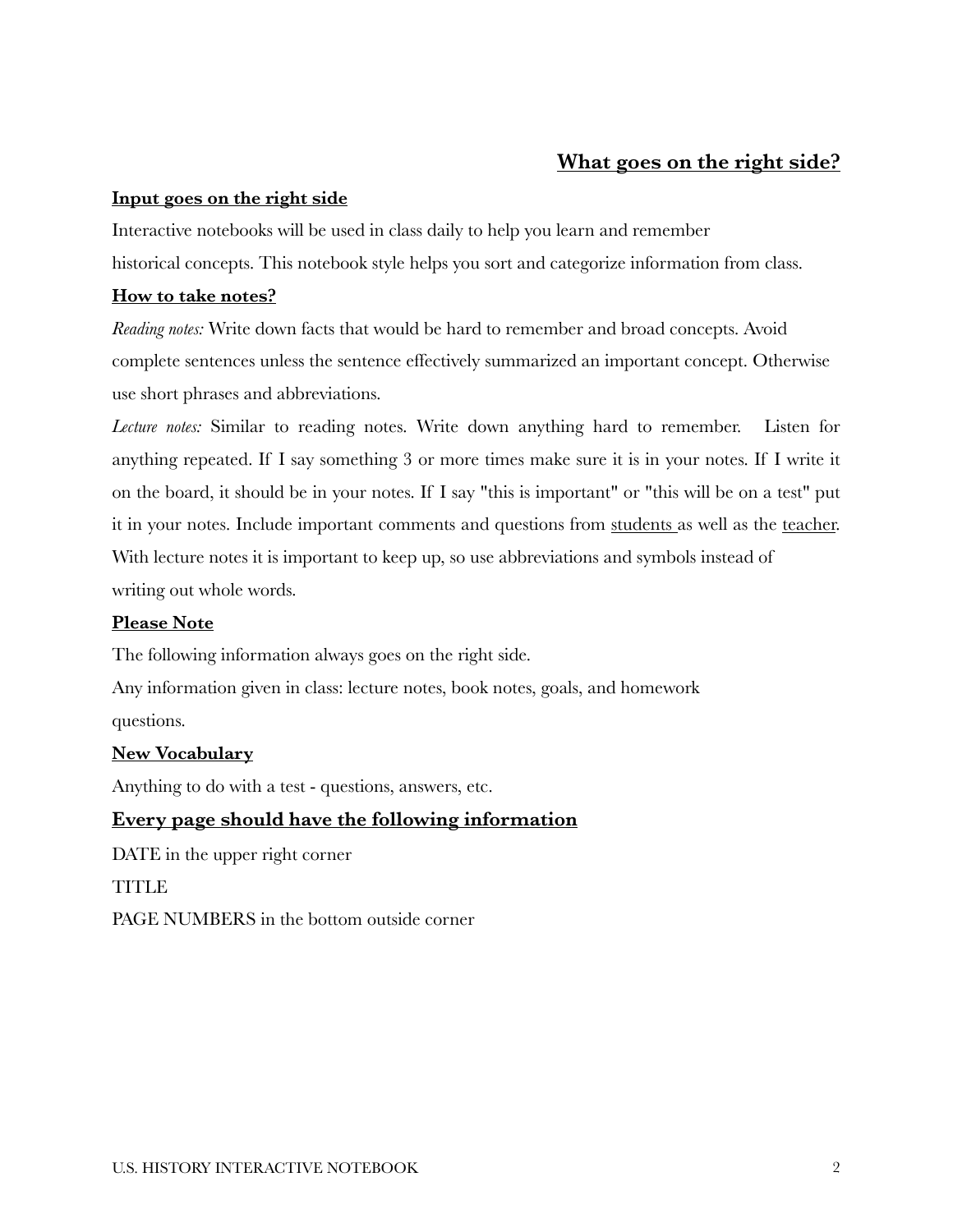### **What goes on the right side?**

#### **Input goes on the right side**

Interactive notebooks will be used in class daily to help you learn and remember historical concepts. This notebook style helps you sort and categorize information from class.

#### **How to take notes?**

*Reading notes:* Write down facts that would be hard to remember and broad concepts. Avoid complete sentences unless the sentence effectively summarized an important concept. Otherwise use short phrases and abbreviations.

*Lecture notes:* Similar to reading notes. Write down anything hard to remember. Listen for anything repeated. If I say something 3 or more times make sure it is in your notes. If I write it on the board, it should be in your notes. If I say "this is important" or "this will be on a test" put it in your notes. Include important comments and questions from students as well as the teacher. With lecture notes it is important to keep up, so use abbreviations and symbols instead of writing out whole words.

#### **Please Note**

The following information always goes on the right side.

Any information given in class: lecture notes, book notes, goals, and homework questions.

#### **New Vocabulary**

Anything to do with a test - questions, answers, etc.

#### **Every page should have the following information**

DATE in the upper right corner **TITLE** PAGE NUMBERS in the bottom outside corner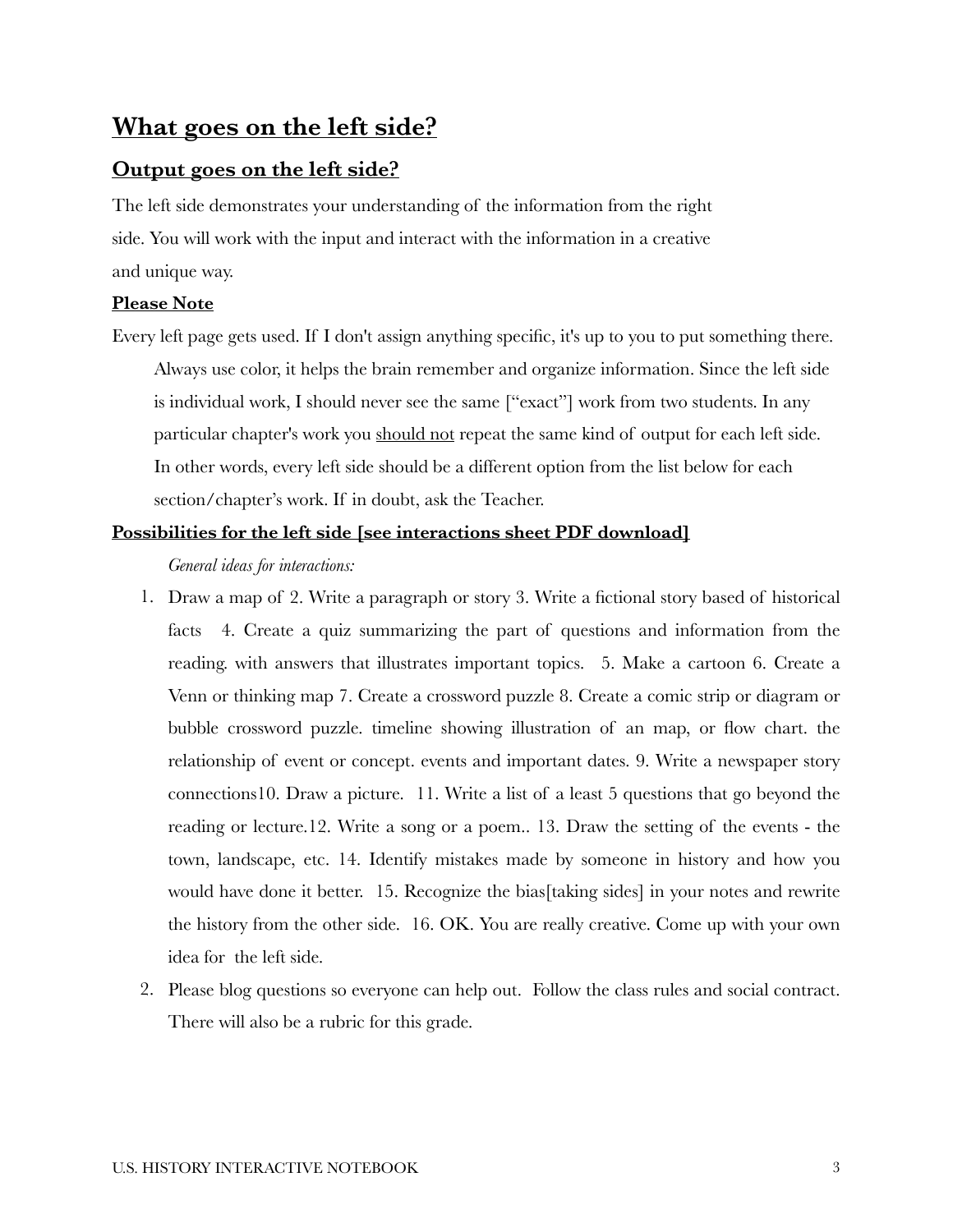# **What goes on the left side?**

## **Output goes on the left side?**

The left side demonstrates your understanding of the information from the right side. You will work with the input and interact with the information in a creative and unique way.

#### **Please Note**

Every left page gets used. If I don't assign anything specific, it's up to you to put something there. Always use color, it helps the brain remember and organize information. Since the left side is individual work, I should never see the same ["exact"] work from two students. In any particular chapter's work you should not repeat the same kind of output for each left side. In other words, every left side should be a different option from the list below for each section/chapter's work. If in doubt, ask the Teacher.

#### **Possibilities for the left side [see interactions sheet PDF download]**

*General ideas for interactions:* 

- 1. Draw a map of 2. Write a paragraph or story 3. Write a fictional story based of historical facts 4. Create a quiz summarizing the part of questions and information from the reading. with answers that illustrates important topics. 5. Make a cartoon 6. Create a Venn or thinking map 7. Create a crossword puzzle 8. Create a comic strip or diagram or bubble crossword puzzle. timeline showing illustration of an map, or flow chart. the relationship of event or concept. events and important dates. 9. Write a newspaper story connections10. Draw a picture. 11. Write a list of a least 5 questions that go beyond the reading or lecture.12. Write a song or a poem.. 13. Draw the setting of the events - the town, landscape, etc. 14. Identify mistakes made by someone in history and how you would have done it better. 15. Recognize the bias[taking sides] in your notes and rewrite the history from the other side. 16. OK. You are really creative. Come up with your own idea for the left side.
- 2. Please blog questions so everyone can help out. Follow the class rules and social contract. There will also be a rubric for this grade.